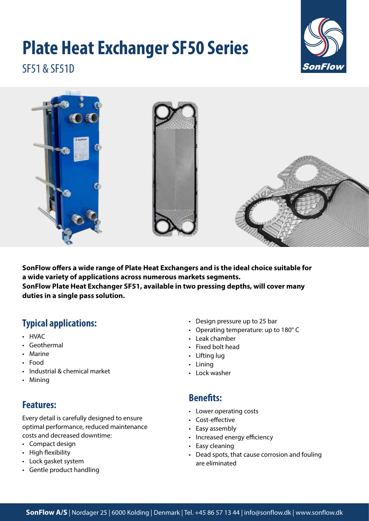# **Plate Heat Exchanger SF50 Series**



SF51 & SF51D



**SonFlow offers a wide range of Plate Heat Exchangers and is the ideal choice suitable for a wide variety of applications across numerous markets segments. SonFlow Plate Heat Exchanger SF51, available in two pressing depths, will cover many duties in a single pass solution.**

# **Typical applications:**

- HVAC
- Geothermal
- Marine
- Food
- Industrial & chemical market
- Mining

# **Features:**

Every detail is carefully designed to ensure optimal performance, reduced maintenance costs and decreased downtime:

- Compact design
- High flexibility
- Lock gasket system
- Gentle product handling
- Design pressure up to 25 bar
- Operating temperature: up to 180° C
- Leak chamber
- Fixed bolt head
- Lifting lug
- Lining
- Lock washer

### **Benefits:**

- Lower operating costs
- Cost-effective
- Easy assembly
- Increased energy efficiency
- Easy cleaning
- Dead spots, that cause corrosion and fouling are eliminated